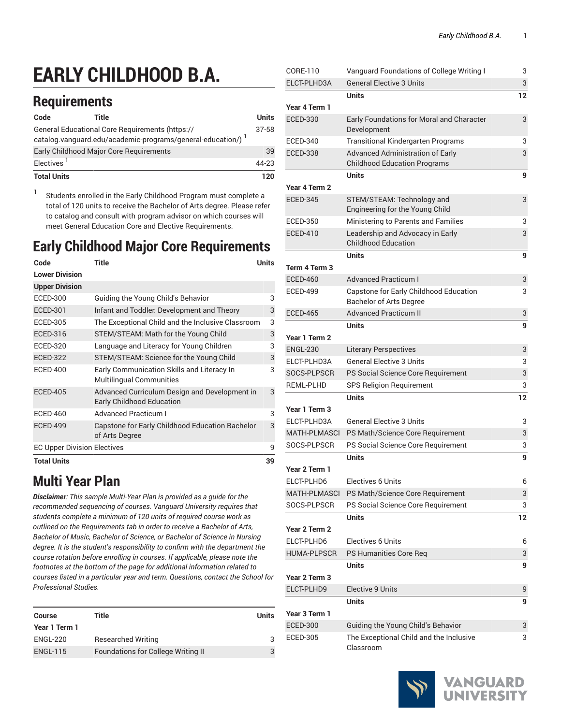# **EARLY CHILDHOOD B.A.**

## **Requirements**

| Code                                                                                                            | Title                                   |  | Units |
|-----------------------------------------------------------------------------------------------------------------|-----------------------------------------|--|-------|
| General Educational Core Requirements (https://<br>catalog.vanguard.edu/academic-programs/general-education/) 1 |                                         |  | 37-58 |
|                                                                                                                 | Early Childhood Major Core Requirements |  | 39    |
| Electives <sup>1</sup>                                                                                          |                                         |  |       |
| <b>Total Units</b>                                                                                              |                                         |  | 120   |

1 Students enrolled in the Early Childhood Program must complete a total of 120 units to receive the Bachelor of Arts degree. Please refer to catalog and consult with program advisor on which courses will meet General Education Core and Elective Requirements.

# **Early Childhood Major Core Requirements**

| Code                               | Title                                                                             | Units |
|------------------------------------|-----------------------------------------------------------------------------------|-------|
| <b>Lower Division</b>              |                                                                                   |       |
| <b>Upper Division</b>              |                                                                                   |       |
| ECED-300                           | Guiding the Young Child's Behavior                                                | 3     |
| <b>ECED-301</b>                    | Infant and Toddler. Development and Theory                                        | 3     |
| <b>ECED-305</b>                    | The Exceptional Child and the Inclusive Classroom                                 | 3     |
| <b>ECED-316</b>                    | STEM/STEAM: Math for the Young Child                                              | 3     |
| <b>ECED-320</b>                    | Language and Literacy for Young Children                                          | 3     |
| <b>ECED-322</b>                    | STEM/STEAM: Science for the Young Child                                           | 3     |
| <b>ECED-400</b>                    | Early Communication Skills and Literacy In<br><b>Multilingual Communities</b>     | 3     |
| <b>ECED-405</b>                    | Advanced Curriculum Design and Development in<br><b>Early Childhood Education</b> | 3     |
| <b>ECED-460</b>                    | <b>Advanced Practicum I</b>                                                       | 3     |
| <b>ECED-499</b>                    | Capstone for Early Childhood Education Bachelor<br>of Arts Degree                 | 3     |
| <b>EC Upper Division Electives</b> |                                                                                   | 9     |
| <b>Total Units</b>                 |                                                                                   | 39    |

## **Multi Year Plan**

*Disclaimer: This sample Multi-Year Plan is provided as a guide for the recommended sequencing of courses. Vanguard University requires that students complete a minimum of 120 units of required course work as outlined on the Requirements tab in order to receive a Bachelor of Arts, Bachelor of Music, Bachelor of Science, or Bachelor of Science in Nursing degree. It is the student's responsibility to confirm with the department the course rotation before enrolling in courses. If applicable, please note the footnotes at the bottom of the page for additional information related to courses listed in a particular year and term. Questions, contact the School for Professional Studies.*

| Course          | Title                                     | Units |
|-----------------|-------------------------------------------|-------|
| Year 1 Term 1   |                                           |       |
| ENGL-220        | <b>Researched Writing</b>                 | 3     |
| <b>ENGL-115</b> | <b>Foundations for College Writing II</b> | 3     |

| CORE-110            | Vanguard Foundations of College Writing I                         | 3  |
|---------------------|-------------------------------------------------------------------|----|
| ELCT-PLHD3A         | <b>General Elective 3 Units</b>                                   | 3  |
|                     | Units                                                             | 12 |
| Year 4 Term 1       |                                                                   |    |
| <b>ECED-330</b>     | Early Foundations for Moral and Character<br>Development          | 3  |
| <b>ECED-340</b>     | <b>Transitional Kindergarten Programs</b>                         | 3  |
| <b>ECED-338</b>     | <b>Advanced Administration of Early</b>                           | 3  |
|                     | <b>Childhood Education Programs</b>                               |    |
|                     | Units                                                             | 9  |
| Year 4 Term 2       |                                                                   |    |
| <b>ECED-345</b>     | STEM/STEAM: Technology and<br>Engineering for the Young Child     | 3  |
| <b>ECED-350</b>     | Ministering to Parents and Families                               | 3  |
| <b>ECED-410</b>     | Leadership and Advocacy in Early                                  | 3  |
|                     | <b>Childhood Education</b>                                        |    |
|                     | <b>Units</b>                                                      | 9  |
| Term 4 Term 3       |                                                                   |    |
| <b>ECED-460</b>     | <b>Advanced Practicum I</b>                                       | 3  |
| <b>ECED-499</b>     | Capstone for Early Childhood Education<br>Bachelor of Arts Degree | 3  |
| <b>ECED-465</b>     | <b>Advanced Practicum II</b>                                      | 3  |
|                     | <b>Units</b>                                                      | 9  |
| Year 1 Term 2       |                                                                   |    |
| <b>ENGL-230</b>     | <b>Literary Perspectives</b>                                      | 3  |
| ELCT-PLHD3A         | <b>General Elective 3 Units</b>                                   | 3  |
| SOCS-PLPSCR         | PS Social Science Core Requirement                                | 3  |
| <b>REML-PLHD</b>    | SPS Religion Requirement                                          | 3  |
|                     | <b>Units</b>                                                      | 12 |
| Year 1 Term 3       |                                                                   |    |
| ELCT-PLHD3A         | <b>General Elective 3 Units</b>                                   | 3  |
| <b>MATH-PLMASCI</b> | PS Math/Science Core Requirement                                  | 3  |
| SOCS-PLPSCR         | PS Social Science Core Requirement                                | 3  |
|                     | <b>Units</b>                                                      | 9  |
| Year 2 Term 1       |                                                                   |    |
| ELCT-PLHD6          | <b>Electives 6 Units</b>                                          | 6  |
| <b>MATH-PLMASCI</b> | PS Math/Science Core Requirement                                  | 3  |
| SOCS-PLPSCR         | PS Social Science Core Requirement                                | 3  |
|                     | <b>Units</b>                                                      | 12 |
| Year 2 Term 2       |                                                                   |    |
| ELCT-PLHD6          | <b>Electives 6 Units</b>                                          | 6  |
| <b>HUMA-PLPSCR</b>  | PS Humanities Core Reg                                            | 3  |
|                     | Units                                                             | 9  |
| Year 2 Term 3       |                                                                   |    |
| ELCT-PLHD9          | <b>Elective 9 Units</b>                                           | 9  |
|                     | Units                                                             | 9  |
| Year 3 Term 1       |                                                                   |    |
| <b>ECED-300</b>     | Guiding the Young Child's Behavior                                | 3  |
| <b>ECED-305</b>     | The Exceptional Child and the Inclusive<br>Classroom              | 3  |